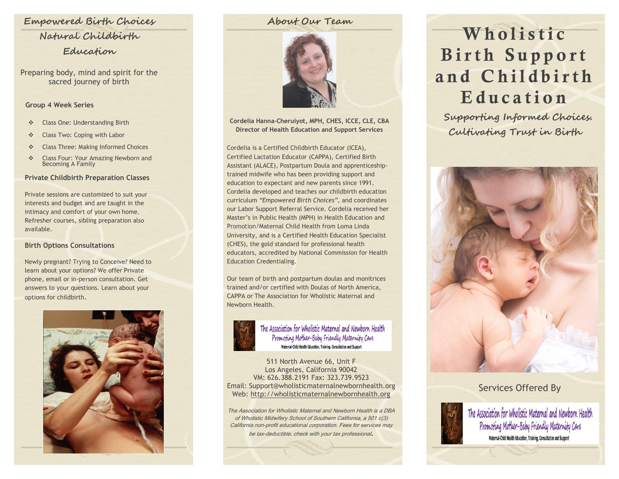## **Empowered Birth Choices Natural Childbirth**

## **Education**

Preparing body, mind and spirit for the sacred journey of birth

#### **Group 4 Week Series**

- Class One: Understanding Birth
- ❖ Class Two: Coping with Labor
- **Example 2** Class Three: Making Informed Choices
- **Example 25 Series** Four: Your Amazing Newborn and Becoming A Family

## **Private Childbirth Preparation Classes**

Private sessions are customized to suit your interests and budget and are taught in the intimacy and comfort of your own home. Refresher courses, sibling preparation also available.

#### **Birth Options Consultations**

Newly pregnant? Trying to Conceive? Need to learn about your options? We offer Private phone, email or in-person consultation. Get answers to your questions. Learn about your options for childbirth.



## **About Our Team**



**Cordelia Hanna-Cheruiyot, MPH, CHES, ICCE, CLE, CBA Director of Health Education and Support Services**

Cordelia is a Certified Childbirth Educator (ICEA), Certified Lactation Educator (CAPPA), Certified Birth Assistant (ALACE), Postpartum Doula and apprenticeshiptrained midwife who has been providing support and education to expectant and new parents since 1991. Cordelia developed and teaches our childbirth education curriculum *"Empowered Birth Choices"*, and coordinates our Labor Support Referral Service. Cordelia received her Master's in Public Health (MPH) in Health Education and Promotion/Maternal Child Health from Loma Linda University, and is a Certified Health Education Specialist (CHES), the gold standard for professional health educators, accredited by National Commission for Health Education Credentialing.

Our team of birth and postpartum doulas and monitrices trained and/or certified with Doulas of North America, CAPPA or The Association for Wholistic Maternal and Newborn Health.



The Association for Wholistic Maternal and Newborn Health Promoting Mother-Baby Friendly Maternity Care Maternal-Child Health Education, Training, Consultation and Support

511 North Avenue 66, Unit F Los Angeles, California 90042 VM: 626.388.2191 Fax: 323.739.9523 Email: Support@wholisticmaternalnewbornhealth.org Web: [http://wholisticmaternalnewbornhealth.org](http://wholisticmaternalnewbornhealth.org/)

The Association for Wholistic Maternal and Newborn Health is a DBA of Wholistic Midwifery School of Southern California, a 501 c(3) California non-profit educational corporation. Fees for services may be tax-deductible, check with your tax professional.

# **W h o l i s t i c Birth Support** and Childbirth **E d u c a t i o n**

**Supporting Informed Choices. Cultivating Trust in Birth**



## Services Offered By



The Association for Wholistic Maternal and Newborn Health Promoting Mother-Baby Friendly Maternity Care Maternal-Child Health Education, Training, Consultation and Support